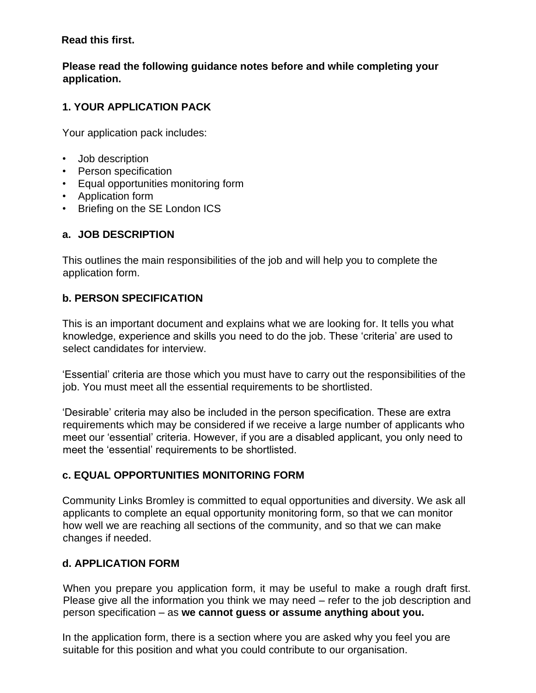#### **Read this first.**

### **Please read the following guidance notes before and while completing your application.**

# **1. YOUR APPLICATION PACK**

Your application pack includes:

- Job description
- Person specification
- Equal opportunities monitoring form
- Application form
- Briefing on the SE London ICS

### **a. JOB DESCRIPTION**

This outlines the main responsibilities of the job and will help you to complete the application form.

### **b. PERSON SPECIFICATION**

This is an important document and explains what we are looking for. It tells you what knowledge, experience and skills you need to do the job. These 'criteria' are used to select candidates for interview.

'Essential' criteria are those which you must have to carry out the responsibilities of the job. You must meet all the essential requirements to be shortlisted.

'Desirable' criteria may also be included in the person specification. These are extra requirements which may be considered if we receive a large number of applicants who meet our 'essential' criteria. However, if you are a disabled applicant, you only need to meet the 'essential' requirements to be shortlisted.

### **c. EQUAL OPPORTUNITIES MONITORING FORM**

Community Links Bromley is committed to equal opportunities and diversity. We ask all applicants to complete an equal opportunity monitoring form, so that we can monitor how well we are reaching all sections of the community, and so that we can make changes if needed.

### **d. APPLICATION FORM**

When you prepare you application form, it may be useful to make a rough draft first. Please give all the information you think we may need – refer to the job description and person specification – as **we cannot guess or assume anything about you.**

In the application form, there is a section where you are asked why you feel you are suitable for this position and what you could contribute to our organisation.